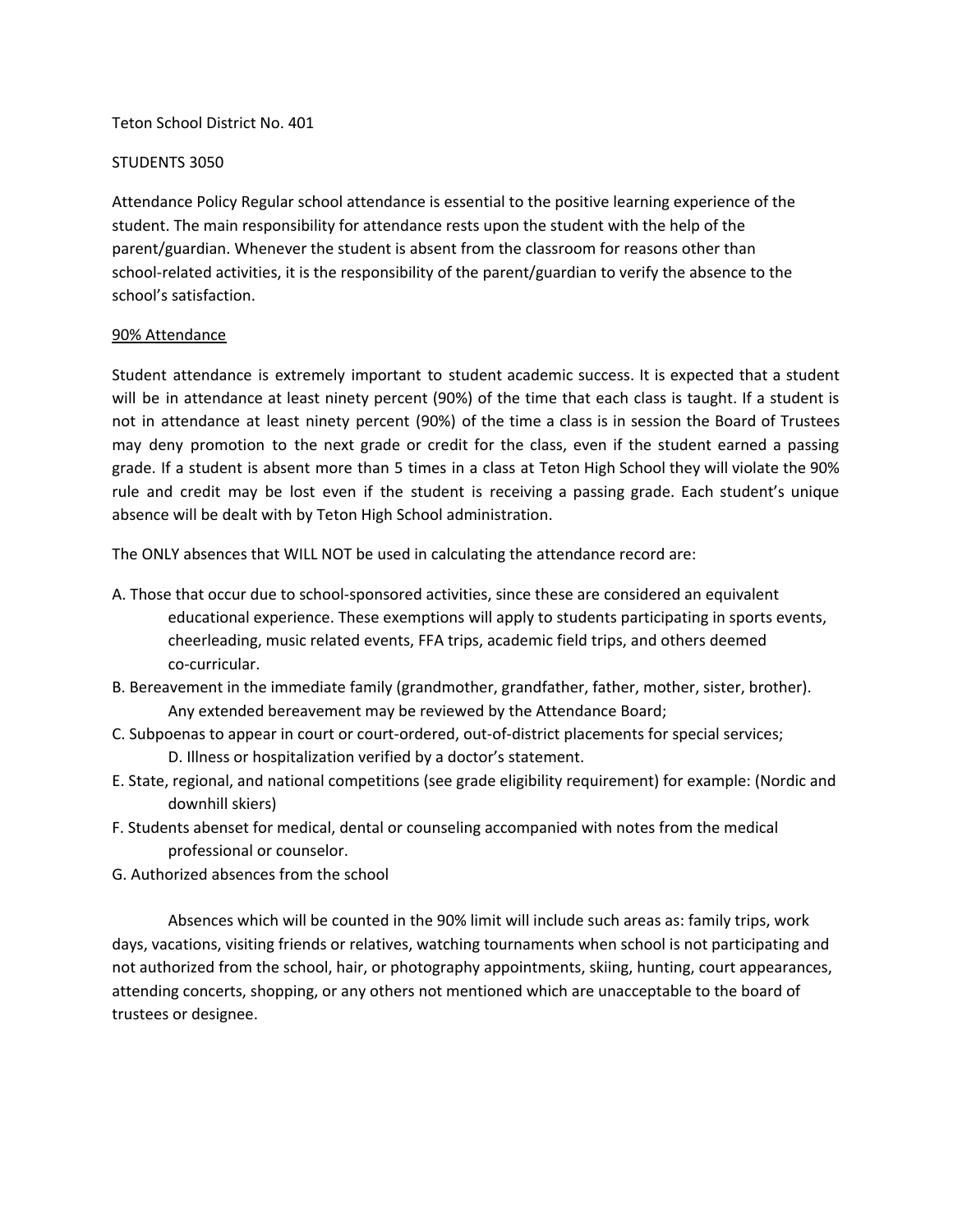#### Teton School District No. 401

#### STUDENTS 3050

Attendance Policy Regular school attendance is essential to the positive learning experience of the student. The main responsibility for attendance rests upon the student with the help of the parent/guardian. Whenever the student is absent from the classroom for reasons other than school-related activities, it is the responsibility of the parent/guardian to verify the absence to the school's satisfaction.

#### 90% Attendance

Student attendance is extremely important to student academic success. It is expected that a student will be in attendance at least ninety percent (90%) of the time that each class is taught. If a student is not in attendance at least ninety percent (90%) of the time a class is in session the Board of Trustees may deny promotion to the next grade or credit for the class, even if the student earned a passing grade. If a student is absent more than 5 times in a class at Teton High School they will violate the 90% rule and credit may be lost even if the student is receiving a passing grade. Each student's unique absence will be dealt with by Teton High School administration.

The ONLY absences that WILL NOT be used in calculating the attendance record are:

- A. Those that occur due to school-sponsored activities, since these are considered an equivalent educational experience. These exemptions will apply to students participating in sports events, cheerleading, music related events, FFA trips, academic field trips, and others deemed co-curricular.
- B. Bereavement in the immediate family (grandmother, grandfather, father, mother, sister, brother). Any extended bereavement may be reviewed by the Attendance Board;
- C. Subpoenas to appear in court or court-ordered, out-of-district placements for special services; D. Illness or hospitalization verified by a doctor's statement.
- E. State, regional, and national competitions (see grade eligibility requirement) for example: (Nordic and downhill skiers)
- F. Students abenset for medical, dental or counseling accompanied with notes from the medical professional or counselor.
- G. Authorized absences from the school

Absences which will be counted in the 90% limit will include such areas as: family trips, work days, vacations, visiting friends or relatives, watching tournaments when school is not participating and not authorized from the school, hair, or photography appointments, skiing, hunting, court appearances, attending concerts, shopping, or any others not mentioned which are unacceptable to the board of trustees or designee.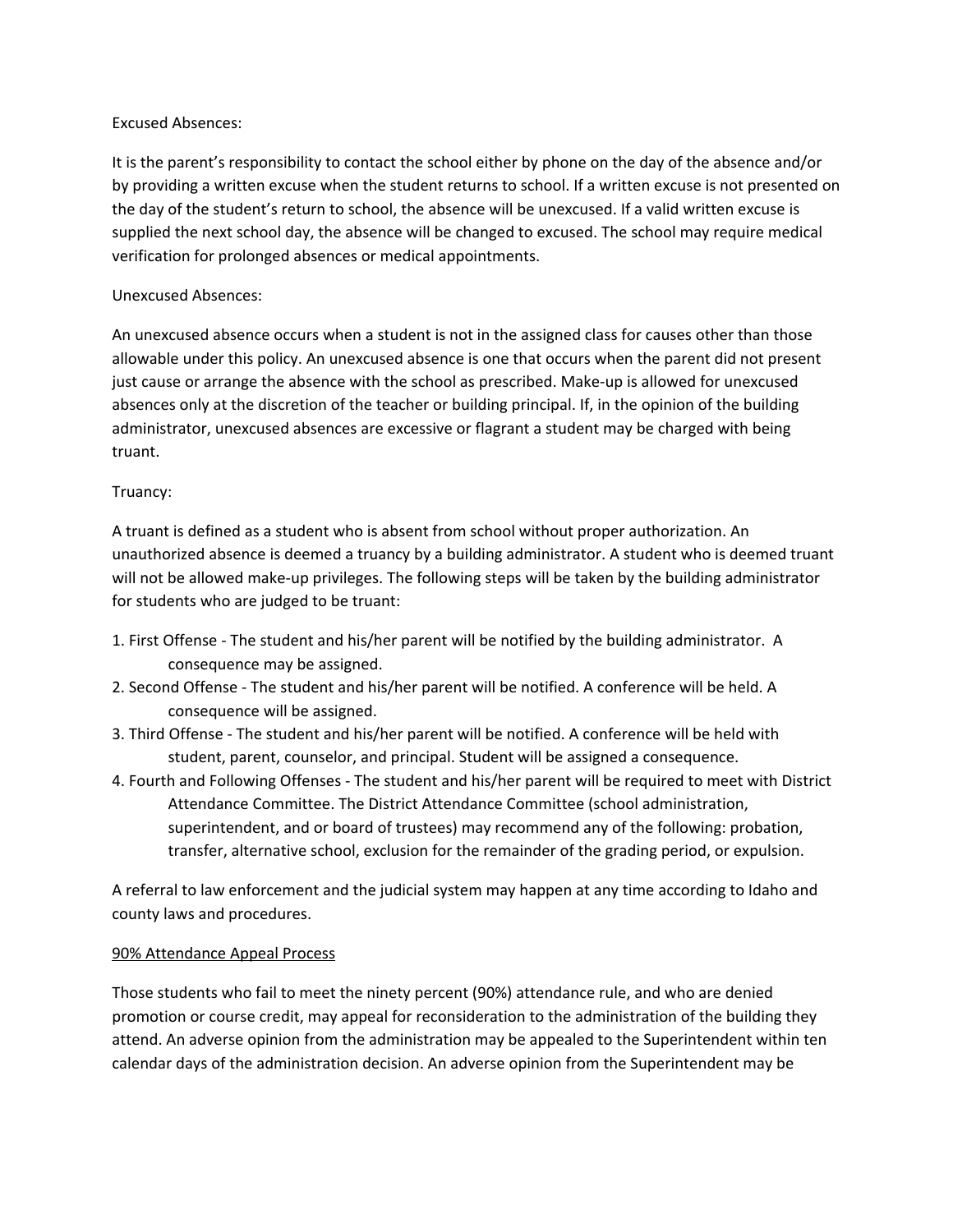## Excused Absences:

It is the parent's responsibility to contact the school either by phone on the day of the absence and/or by providing a written excuse when the student returns to school. If a written excuse is not presented on the day of the student's return to school, the absence will be unexcused. If a valid written excuse is supplied the next school day, the absence will be changed to excused. The school may require medical verification for prolonged absences or medical appointments.

## Unexcused Absences:

An unexcused absence occurs when a student is not in the assigned class for causes other than those allowable under this policy. An unexcused absence is one that occurs when the parent did not present just cause or arrange the absence with the school as prescribed. Make-up is allowed for unexcused absences only at the discretion of the teacher or building principal. If, in the opinion of the building administrator, unexcused absences are excessive or flagrant a student may be charged with being truant.

# Truancy:

A truant is defined as a student who is absent from school without proper authorization. An unauthorized absence is deemed a truancy by a building administrator. A student who is deemed truant will not be allowed make-up privileges. The following steps will be taken by the building administrator for students who are judged to be truant:

- 1. First Offense The student and his/her parent will be notified by the building administrator. A consequence may be assigned.
- 2. Second Offense The student and his/her parent will be notified. A conference will be held. A consequence will be assigned.
- 3. Third Offense The student and his/her parent will be notified. A conference will be held with student, parent, counselor, and principal. Student will be assigned a consequence.
- 4. Fourth and Following Offenses The student and his/her parent will be required to meet with District Attendance Committee. The District Attendance Committee (school administration, superintendent, and or board of trustees) may recommend any of the following: probation, transfer, alternative school, exclusion for the remainder of the grading period, or expulsion.

A referral to law enforcement and the judicial system may happen at any time according to Idaho and county laws and procedures.

## 90% Attendance Appeal Process

Those students who fail to meet the ninety percent (90%) attendance rule, and who are denied promotion or course credit, may appeal for reconsideration to the administration of the building they attend. An adverse opinion from the administration may be appealed to the Superintendent within ten calendar days of the administration decision. An adverse opinion from the Superintendent may be